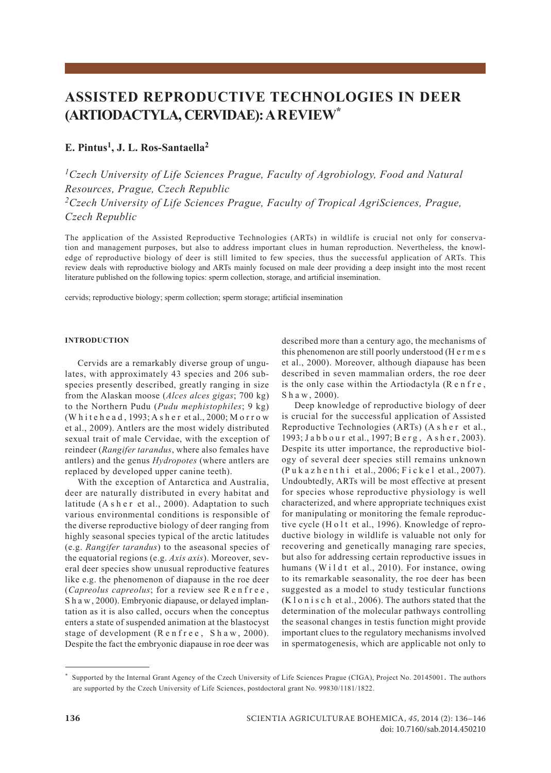# **ASSISTED REPRODUCTIVE TECHNOLOGIES IN DEER (ARTIODACTYLA, CERVIDAE): A REVIEW\***

# **E. Pintus1, J. L. Ros-Santaella2**

*1Czech University of Life Sciences Prague, Faculty of Agrobiology, Food and Natural Resources, Prague, Czech Republic 2Czech University of Life Sciences Prague, Faculty of Tropical AgriSciences, Prague, Czech Republic*

The application of the Assisted Reproductive Technologies (ARTs) in wildlife is crucial not only for conservation and management purposes, but also to address important clues in human reproduction. Nevertheless, the knowledge of reproductive biology of deer is still limited to few species, thus the successful application of ARTs. This review deals with reproductive biology and ARTs mainly focused on male deer providing a deep insight into the most recent literature published on the following topics: sperm collection, storage, and artificial insemination.

cervids; reproductive biology; sperm collection; sperm storage; artificial insemination

### **INTRODUCTION**

Cervids are a remarkably diverse group of ungulates, with approximately 43 species and 206 subspecies presently described, greatly ranging in size from the Alaskan moose (*Alces alces gigas*; 700 kg) to the Northern Pudu (*Pudu mephistophiles*; 9 kg) (W h i t e h e a d , 1993; A s h e r et al., 2000; M o r r o w et al., 2009). Antlers are the most widely distributed sexual trait of male Cervidae, with the exception of reindeer (*Rangifer tarandus*, where also females have antlers) and the genus *Hydropotes* (where antlers are replaced by developed upper canine teeth).

With the exception of Antarctica and Australia, deer are naturally distributed in every habitat and latitude (A s h e r et al., 2000). Adaptation to such various environmental conditions is responsible of the diverse reproductive biology of deer ranging from highly seasonal species typical of the arctic latitudes (e.g. *Rangifer tarandus*) to the aseasonal species of the equatorial regions (e.g. *Axis axis*). Moreover, several deer species show unusual reproductive features like e.g. the phenomenon of diapause in the roe deer (*Capreolus capreolus*; for a review see R e n f r e e, S h a w, 2000). Embryonic diapause, or delayed implantation as it is also called, occurs when the conceptus enters a state of suspended animation at the blastocyst stage of development  $(R \cdot e \cdot h \cdot r \cdot e \cdot g \cdot h \cdot w \cdot r \cdot 2000)$ . Despite the fact the embryonic diapause in roe deer was

described more than a century ago, the mechanisms of this phenomenon are still poorly understood (H e r m e s et al., 2000). Moreover, although diapause has been described in seven mammalian orders, the roe deer is the only case within the Artiodactyla  $(R \cdot e \cdot h \cdot f \cdot e)$ , S h a w , 2000).

Deep knowledge of reproductive biology of deer is crucial for the successful application of Assisted Reproductive Technologies (ARTs) (A s h e r et al., 1993; Jabbour et al., 1997; Berg, Asher, 2003). Despite its utter importance, the reproductive biology of several deer species still remains unknown  $(P$  u k a z h e n t h i et al., 2006; F i c k e l et al., 2007). Undoubtedly, ARTs will be most effective at present for species whose reproductive physiology is well characterized, and where appropriate techniques exist for manipulating or monitoring the female reproductive cycle (H o l t et al., 1996). Knowledge of reproductive biology in wildlife is valuable not only for recovering and genetically managing rare species, but also for addressing certain reproductive issues in humans (Wildt et al., 2010). For instance, owing to its remarkable seasonality, the roe deer has been suggested as a model to study testicular functions  $(K \log n)$  is c h et al., 2006). The authors stated that the determination of the molecular pathways controlling the seasonal changes in testis function might provide important clues to the regulatory mechanisms involved in spermatogenesis, which are applicable not only to

<sup>\*</sup> Supported by the Internal Grant Agency of the Czech University of Life Sciences Prague (CIGA), Project No. 20145001. The authors are supported by the Czech University of Life Sciences, postdoctoral grant No. 99830/1181/1822.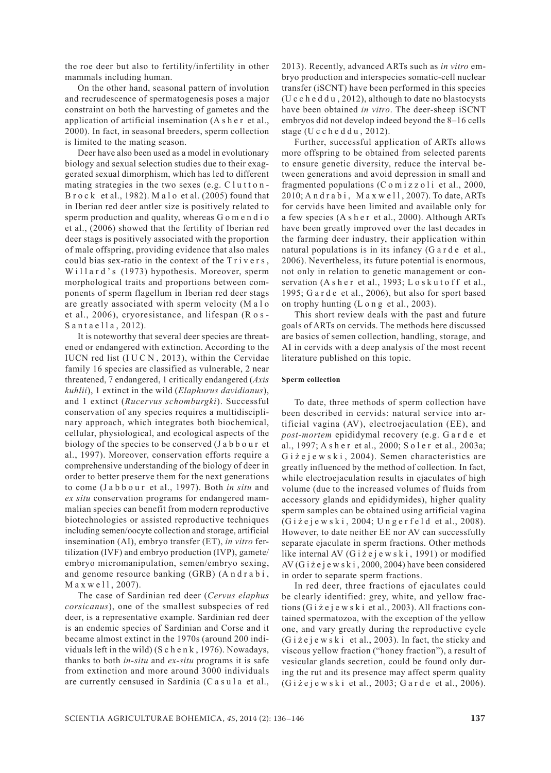the roe deer but also to fertility/infertility in other mammals including human.

On the other hand, seasonal pattern of involution and recrudescence of spermatogenesis poses a major constraint on both the harvesting of gametes and the application of artificial insemination (A s h e r et al., 2000). In fact, in seasonal breeders, sperm collection is limited to the mating season.

Deer have also been used as a model in evolutionary biology and sexual selection studies due to their exaggerated sexual dimorphism, which has led to different mating strategies in the two sexes (e.g.  $Cl$ utton-B r o c k et al., 1982). M a l o et al. (2005) found that in Iberian red deer antler size is positively related to sperm production and quality, whereas G o m e n d i o et al., (2006) showed that the fertility of Iberian red deer stags is positively associated with the proportion of male offspring, providing evidence that also males could bias sex-ratio in the context of the Trivers, Willard's (1973) hypothesis. Moreover, sperm morphological traits and proportions between components of sperm flagellum in Iberian red deer stags are greatly associated with sperm velocity (M a l o et al., 2006), cryoresistance, and lifespan (R o s - Santaella, 2012).

It is noteworthy that several deer species are threatened or endangered with extinction. According to the IUCN red list  $(IUCN, 2013)$ , within the Cervidae family 16 species are classified as vulnerable, 2 near threatened, 7 endangered, 1 critically endangered (*Axis kuhlii*), 1 extinct in the wild (*Elaphurus davidianus*), and 1 extinct (*Rucervus schomburgki*). Successful conservation of any species requires a multidisciplinary approach, which integrates both biochemical, cellular, physiological, and ecological aspects of the biology of the species to be conserved (J a b b o u r et al., 1997). Moreover, conservation efforts require a comprehensive understanding of the biology of deer in order to better preserve them for the next generations to come (J a b b o u r et al., 1997). Both *in situ* and *ex situ* conservation programs for endangered mammalian species can benefit from modern reproductive biotechnologies or assisted reproductive techniques including semen/oocyte collection and storage, artificial insemination (AI), embryo transfer (ET), *in vitro* fertilization (IVF) and embryo production (IVP), gamete/ embryo micromanipulation, semen/embryo sexing, and genome resource banking (GRB) (A n d r a b i,  $M$  a x w e  $11, 2007$ ).

The case of Sardinian red deer (*Cervus elaphus corsicanus*), one of the smallest subspecies of red deer, is a representative example. Sardinian red deer is an endemic species of Sardinian and Corse and it became almost extinct in the 1970s (around 200 individuals left in the wild) (S c h e n k , 1976). Nowadays, thanks to both *in-situ* and *ex-situ* programs it is safe from extinction and more around 3000 individuals are currently censused in Sardinia (C a s u l a et al., 2013). Recently, advanced ARTs such as *in vitro* embryo production and interspecies somatic-cell nuclear transfer (iSCNT) have been performed in this species (U c c h e d d u , 2012), although to date no blastocysts have been obtained *in vitro*. The deer-sheep iSCNT embryos did not develop indeed beyond the 8–16 cells stage (U c c h e d d u  $, 2012$ ).

Further, successful application of ARTs allows more offspring to be obtained from selected parents to ensure genetic diversity, reduce the interval between generations and avoid depression in small and fragmented populations  $(C \circ m)$  i z z o l i et al., 2000,  $2010$ ; A n d r a b i, M a x w e l l, 2007). To date, ARTs for cervids have been limited and available only for a few species (A s h e r et al., 2000). Although ARTs have been greatly improved over the last decades in the farming deer industry, their application within natural populations is in its infancy (G a r d e et al., 2006). Nevertheless, its future potential is enormous, not only in relation to genetic management or conservation  $(A \, s \, h \, e \, r \, et \, al., 1993; L \, o \, s \, k \, u \, t \, o \, f \, f \, et \, al.,$ 1995; G a r d e et al., 2006), but also for sport based on trophy hunting (L o n g et al., 2003).

This short review deals with the past and future goals of ARTs on cervids. The methods here discussed are basics of semen collection, handling, storage, and AI in cervids with a deep analysis of the most recent literature published on this topic.

# **Sperm collection**

To date, three methods of sperm collection have been described in cervids: natural service into artificial vagina (AV), electroejaculation (EE), and *post-mortem* epididymal recovery (e.g. G a r d e et al., 1997; A s h e r et al., 2000; S o l e r et al., 2003a; G i  $\overline{z}$  e j e w s k i , 2004). Semen characteristics are greatly influenced by the method of collection. In fact, while electroejaculation results in ejaculates of high volume (due to the increased volumes of fluids from accessory glands and epididymides), higher quality sperm samples can be obtained using artificial vagina (G i ż e j e w s k i , 2004; U n g e r f e l d et al., 2008). However, to date neither EE nor AV can successfully separate ejaculate in sperm fractions. Other methods like internal AV (G i ż e j e w s k i , 1991) or modified AV (G i ż e j e w s k i , 2000, 2004) have been considered in order to separate sperm fractions.

In red deer, three fractions of ejaculates could be clearly identified: grey, white, and yellow fractions (G i ż e j e w s k i et al., 2003). All fractions contained spermatozoa, with the exception of the yellow one, and vary greatly during the reproductive cycle  $(G i \nvert z \neq j \neq w \nvert s \nvert i \neq a1$ , 2003). In fact, the sticky and viscous yellow fraction ("honey fraction"), a result of vesicular glands secretion, could be found only during the rut and its presence may affect sperm quality (G i ż e j e w s k i et al., 2003; G a r d e et al., 2006).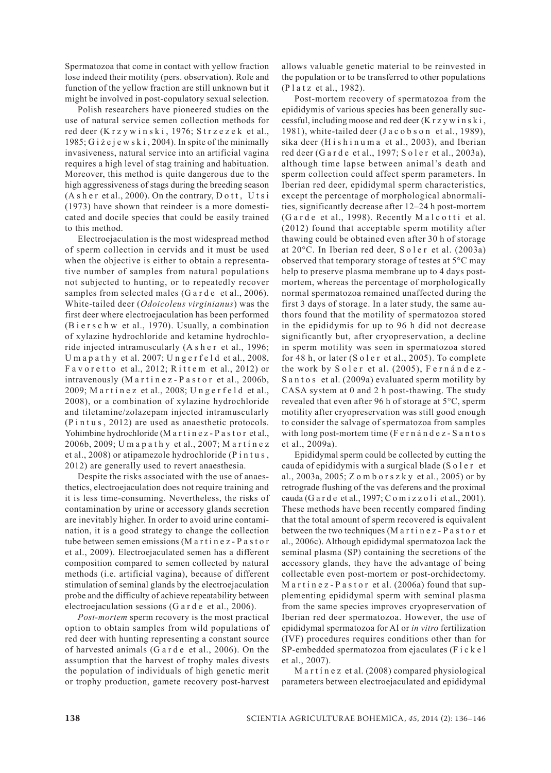Spermatozoa that come in contact with yellow fraction lose indeed their motility (pers. observation). Role and function of the yellow fraction are still unknown but it might be involved in post-copulatory sexual selection.

Polish researchers have pioneered studies on the use of natural service semen collection methods for red deer (K r z y w i n s k i , 1976; S t r z e z e k et al., 1985; G i ż e j e w s k i , 2004). In spite of the minimally invasiveness, natural service into an artificial vagina requires a high level of stag training and habituation. Moreover, this method is quite dangerous due to the high aggressiveness of stags during the breeding season  $(A \simeq h \cdot e \cdot r \cdot e \cdot a \cdot l, 2000)$ . On the contrary, D o t t, U t s i (1973) have shown that reindeer is a more domesticated and docile species that could be easily trained to this method.

Electroejaculation is the most widespread method of sperm collection in cervids and it must be used when the objective is either to obtain a representative number of samples from natural populations not subjected to hunting, or to repeatedly recover samples from selected males (G a r d e et al., 2006). White-tailed deer (*Odoicoleus virginianus*) was the first deer where electroejaculation has been performed (B i e r s c h w et al., 1970). Usually, a combination of xylazine hydrochloride and ketamine hydrochloride injected intramuscularly (A s h e r et al., 1996; U m a p a t h y et al.  $2007$ ; U n g e r f e l d et al.,  $2008$ , Favoretto et al., 2012; Rittem et al., 2012) or intravenously (Martinez-Pastor et al., 2006b, 2009; Martínez et al., 2008; Ungerfeld et al., 2008), or a combination of xylazine hydrochloride and tiletamine/zolazepam injected intramuscularly  $(P \text{ int } u \text{ s}, 2012)$  are used as anaesthetic protocols. Yohimbine hydrochloride (M a r t i n e z - P a s t o r et al., 2006b, 2009; U m a p a t h y et al., 2007; M a r t í n e z et al., 2008) or atipamezole hydrochloride (P i n t u s , 2012) are generally used to revert anaesthesia.

Despite the risks associated with the use of anaesthetics, electroejaculation does not require training and it is less time-consuming. Nevertheless, the risks of contamination by urine or accessory glands secretion are inevitably higher. In order to avoid urine contamination, it is a good strategy to change the collection tube between semen emissions (M a r t i n e z - P a s t o r et al., 2009). Electroejaculated semen has a different composition compared to semen collected by natural methods (i.e. artificial vagina), because of different stimulation of seminal glands by the electroejaculation probe and the difficulty of achieve repeatability between electroejaculation sessions (G a r d e et al., 2006).

*Post-mortem* sperm recovery is the most practical option to obtain samples from wild populations of red deer with hunting representing a constant source of harvested animals (G a r d e et al., 2006). On the assumption that the harvest of trophy males divests the population of individuals of high genetic merit or trophy production, gamete recovery post-harvest allows valuable genetic material to be reinvested in the population or to be transferred to other populations (P l a t z et al., 1982).

Post-mortem recovery of spermatozoa from the epididymis of various species has been generally successful, including moose and red deer (K r z y w i n s k i , 1981), white-tailed deer (J a c o b s o n et al., 1989), sika deer (H i s h i n u m a et al., 2003), and Iberian red deer (G a r d e et al., 1997; S o l e r et al., 2003a), although time lapse between animal's death and sperm collection could affect sperm parameters. In Iberian red deer, epididymal sperm characteristics, except the percentage of morphological abnormalities, significantly decrease after 12–24 h post-mortem  $(G \text{ and } e \text{ et al., } 1998)$ . Recently Malcotti et al. (2012) found that acceptable sperm motility after thawing could be obtained even after 30 h of storage at 20°C. In Iberian red deer, S o l e r et al. (2003a) observed that temporary storage of testes at 5°C may help to preserve plasma membrane up to 4 days postmortem, whereas the percentage of morphologically normal spermatozoa remained unaffected during the first 3 days of storage. In a later study, the same authors found that the motility of spermatozoa stored in the epididymis for up to 96 h did not decrease significantly but, after cryopreservation, a decline in sperm motility was seen in spermatozoa stored for 48 h, or later  $(S \circ \text{ler et al.}, 2005)$ . To complete the work by Soler et al. (2005), Fernández-Santos et al. (2009a) evaluated sperm motility by CASA system at 0 and 2 h post-thawing. The study revealed that even after 96 h of storage at 5°C, sperm motility after cryopreservation was still good enough to consider the salvage of spermatozoa from samples with long post-mortem time (F e r n á n d e z - S a n t o s et al., 2009a).

Epididymal sperm could be collected by cutting the cauda of epididymis with a surgical blade (S o l e r et al., 2003a, 2005; Z o m b o r s z k y et al., 2005) or by retrograde flushing of the vas deferens and the proximal cauda (G a r d e et al., 1997; C o m i z z o l i et al., 2001). These methods have been recently compared finding that the total amount of sperm recovered is equivalent between the two techniques (M a r t i n e z - P a s t o r et al., 2006c). Although epididymal spermatozoa lack the seminal plasma (SP) containing the secretions of the accessory glands, they have the advantage of being collectable even post-mortem or post-orchidectomy. M a r t i n e z - P a s t o r et al.  $(2006a)$  found that supplementing epididymal sperm with seminal plasma from the same species improves cryopreservation of Iberian red deer spermatozoa. However, the use of epididymal spermatozoa for AI or *in vitro* fertilization (IVF) procedures requires conditions other than for SP-embedded spermatozoa from ejaculates (F i c k e l et al., 2007).

M a r t í n e z et al. (2008) compared physiological parameters between electroejaculated and epididymal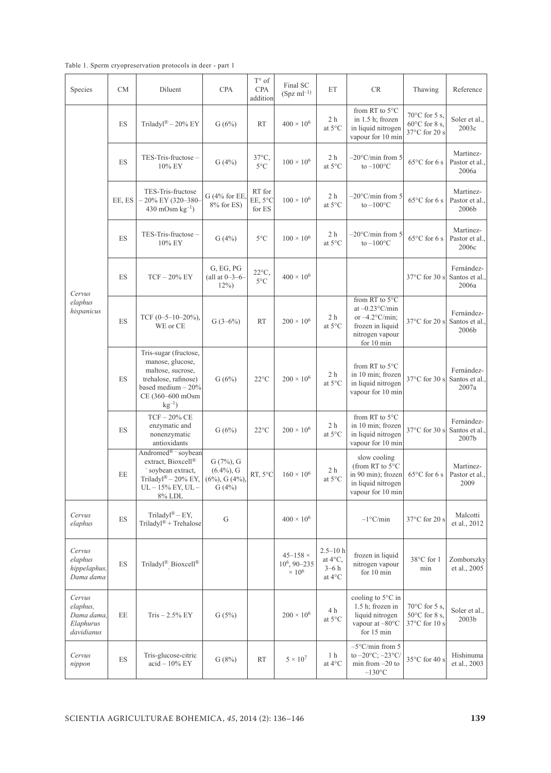Table 1. Sperm cryopreservation protocols in deer - part 1

| Species                                                     | <b>CM</b>                | Diluent                                                                                                                                          | <b>CPA</b>                                                       | $T^{\circ}$ of<br><b>CPA</b><br>addition | Final SC<br>$(Spz ml^{-1})$                           | ET                                                   | <b>CR</b>                                                                                                               | Thawing                                                                  | Reference                             |
|-------------------------------------------------------------|--------------------------|--------------------------------------------------------------------------------------------------------------------------------------------------|------------------------------------------------------------------|------------------------------------------|-------------------------------------------------------|------------------------------------------------------|-------------------------------------------------------------------------------------------------------------------------|--------------------------------------------------------------------------|---------------------------------------|
| Cervus<br>elaphus<br>hispanicus                             | ES                       | Triladyl® - 20% EY                                                                                                                               | G(6%)                                                            | <b>RT</b>                                | $400 \times 10^{6}$                                   | 2 h<br>at 5°C                                        | from RT to 5°C<br>in 1.5 h; frozen<br>in liquid nitrogen<br>vapour for 10 min                                           | $70^{\circ}$ C for 5 s,<br>$60^{\circ}$ C for 8 s,<br>37°C for 20 s      | Soler et al.,<br>2003c                |
|                                                             | <b>ES</b>                | TES-Tris-fructose-<br>$10\%$ EY                                                                                                                  | G(4%)                                                            | 37°C,<br>$5^{\circ}$ C                   | $100\times10^6$                                       | 2 <sub>h</sub><br>at 5°C                             | $-20^{\circ}$ C/min from 5<br>to $-100$ °C                                                                              | $65^{\circ}$ C for 6 s                                                   | Martinez-<br>Pastor et al.,<br>2006a  |
|                                                             | EE, ES                   | TES-Tris-fructose<br>$-20\%$ EY (320-380-<br>$430 \text{ mOsm kg}^{-1}$                                                                          | $G(4%$ for EE.<br>$8\%$ for ES)                                  | RT for<br>EE, 5°C<br>for ${\rm ES}$      | $100 \times 10^{6}$                                   | 2 <sub>h</sub><br>at 5°C                             | $-20^{\circ}$ C/min from 5<br>to $-100$ <sup>o</sup> C                                                                  | $65^{\circ}$ C for 6 s                                                   | Martinez-<br>Pastor et al.,<br>2006b  |
|                                                             | ES                       | TES-Tris-fructose-<br>10% EY                                                                                                                     | G(4%)                                                            | $5^{\circ}$ C                            | $100\times10^6$                                       | 2 h<br>at 5°C                                        | $-20^{\circ}$ C/min from 5<br>to $-100$ <sup>o</sup> C                                                                  | $65^{\circ}$ C for 6 s                                                   | Martinez-<br>Pastor et al.,<br>2006c  |
|                                                             | ES                       | $TCF - 20\%$ EY                                                                                                                                  | G, EG, PG<br>(all at $0 - 3 - 6$<br>$12\%)$                      | $22^{\circ}C$<br>$5^{\circ}$ C           | $400 \times 10^{6}$                                   |                                                      |                                                                                                                         | $37^{\circ}$ C for 30 s                                                  | Fernández-<br>Santos et al.,<br>2006a |
|                                                             | ES                       | TCF $(0-5-10-20\%)$ ,<br>WE or CE                                                                                                                | $G(3-6%)$                                                        | <b>RT</b>                                | $200\times10^6$                                       | 2 <sub>h</sub><br>at 5°C                             | from RT to $5^{\circ}$ C<br>at $-0.23$ °C/min<br>or $-4.2$ °C/min;<br>frozen in liquid<br>nitrogen vapour<br>for 10 min | $37^{\circ}$ C for 20 s                                                  | Fernández-<br>Santos et al.,<br>2006b |
|                                                             | ES                       | Tris-sugar (fructose,<br>manose, glucose,<br>maltose, sucrose,<br>trehalose, rafinose)<br>based medium $-20%$<br>CE (360-600 mOsm<br>$kg^{-1}$ ) | G(6%)                                                            | $22^{\circ}$ C                           | $200 \times 10^{6}$                                   | 2 h<br>at 5°C                                        | from RT to $5^{\circ}$ C<br>in 10 min; frozen<br>in liquid nitrogen<br>vapour for 10 min                                | 37°C for 30 s                                                            | Fernández-<br>Santos et al.,<br>2007a |
|                                                             | ES                       | $TCF - 20\%$ CE<br>enzymatic and<br>nonenzymatic<br>antioxidants                                                                                 | G(6%)                                                            | $22^{\circ}$ C                           | $200 \times 10^{6}$                                   | 2 <sub>h</sub><br>at 5°C                             | from RT to 5°C<br>in 10 min; frozen<br>in liquid nitrogen<br>vapour for 10 min                                          | 37°C for 30 s                                                            | Fernández-<br>Santos et al.,<br>2007b |
|                                                             | EE                       | Andromed <sup>®</sup> - soybean<br>extract, Bioxcell®<br>- soybean extract,<br>Triladyl® - 20% EY,<br>$UL - 15\%$ EY, $UL -$<br>8% LDL           | $G(7%)$ , $G$<br>$(6.4\%)$ , G<br>$(6\%)$ , G $(4\%)$ ,<br>G(4%) | RT, 5°C                                  | $160 \times 10^{6}$                                   | 2 h<br>at $5^{\circ}\mathrm{C}$                      | slow cooling<br>(from RT to 5°C<br>in 90 min); frozen<br>in liquid nitrogen<br>vapour for 10 min                        | $65^{\circ}$ C for 6 s                                                   | Martinez-<br>Pastor et al.,<br>2009   |
| Cervus<br>elaphus                                           | ES                       | Triladyl® – EY,<br>Triladyl® + Trehalose                                                                                                         | ${\bf G}$                                                        |                                          | $400 \times 10^{6}$                                   |                                                      | $-1$ °C/min                                                                                                             | 37°C for 20 s                                                            | Malcotti<br>et al., 2012              |
| Cervus<br>elaphus<br>hippelaphus,<br>Dama dama              | ES                       | Triladyl® Bioxcell®                                                                                                                              |                                                                  |                                          | $45 - 158 \times$<br>$10^6$ , 90-235<br>$\times 10^6$ | $2.5 - 10h$<br>at $4^{\circ}C$ ,<br>$3-6h$<br>at 4°C | frozen in liquid<br>nitrogen vapour<br>for 10 min                                                                       | 38°C for 1<br>min                                                        | Zomborszky<br>et al., 2005            |
| Cervus<br>elaphus,<br>Dama dama,<br>Elaphurus<br>davidianus | $\rm EE$                 | $Tris - 2.5\%$ EY                                                                                                                                | G(5%)                                                            |                                          | $200\times10^6$                                       | 4 h<br>at $5^{\circ}\mathrm{C}$                      | cooling to 5°C in<br>1.5 h; frozen in<br>liquid nitrogen<br>vapour at -80°C<br>for 15 min                               | 70 $\rm{^{\circ}C}$ for 5 s,<br>$50^{\circ}$ C for 8 s,<br>37°C for 10 s | Soler et al.,<br>$2003\mathrm{b}$     |
| Cervus<br>nippon                                            | $\mathop{\hbox{\rm ES}}$ | Tris-glucose-citric<br>$acid - 10\%$ EY                                                                                                          | G(8%)                                                            | <b>RT</b>                                | $5 \times 10^7$                                       | 1 h<br>at $4^{\circ}$ C                              | $-5^{\circ}$ C/min from 5<br>to $-20^{\circ}$ C; $-23^{\circ}$ C/<br>min from $-20$ to<br>$-130$ °C                     | 35°C for 40 s                                                            | Hishinuma<br>et al., 2003             |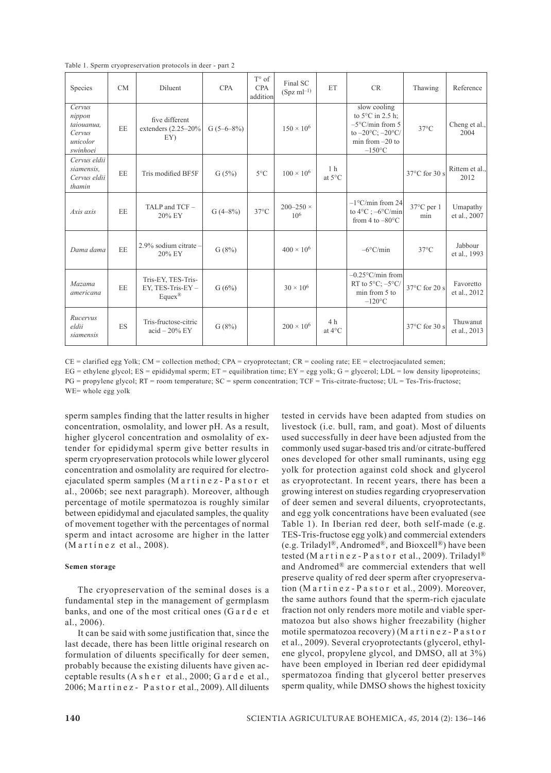Table 1. Sperm cryopreservation protocols in deer - part 2

| Species                                                          | CM | Diluent                                             | <b>CPA</b>  | $T^{\circ}$ of<br><b>CPA</b><br>addition | Final SC<br>$(Spz ml^{-1})$           | ET                                 | CR                                                                                                                                                | Thawing                     | Reference                 |
|------------------------------------------------------------------|----|-----------------------------------------------------|-------------|------------------------------------------|---------------------------------------|------------------------------------|---------------------------------------------------------------------------------------------------------------------------------------------------|-----------------------------|---------------------------|
| Cervus<br>nippon<br>taiouanua,<br>Cervus<br>unicolor<br>swinhoei | EE | five different<br>extenders $(2.25-20\%$<br>EY)     | $G(5-6-8%)$ |                                          | $150 \times 10^6$                     |                                    | slow cooling<br>to $5^{\circ}$ C in 2.5 h;<br>$-5^{\circ}$ C/min from 5<br>to $-20^{\circ}$ C; $-20^{\circ}$ C/<br>min from $-20$ to<br>$-150$ °C | $37^{\circ}$ C              | Cheng et al.,<br>2004     |
| Cervus eldii<br>siamensis,<br>Cervus eldii<br>thamin             | EE | Tris modified BF5F                                  | G(5%)       | $5^{\circ}$ C                            | $100 \times 10^{6}$                   | 1 <sub>h</sub><br>at 5°C           |                                                                                                                                                   | $37^{\circ}$ C for 30 s     | Rittem et al.,<br>2012    |
| Axis axis                                                        | EE | TALP and TCF -<br>20% EY                            | $G(4-8%)$   | $37^{\circ}$ C                           | $200 - 250 \times$<br>10 <sup>6</sup> |                                    | $-1^{\circ}$ C/min from 24<br>to $4^{\circ}$ C : $-6^{\circ}$ C/min<br>from 4 to $-80^{\circ}$ C                                                  | $37^{\circ}$ C per 1<br>min | Umapathy<br>et al., 2007  |
| Dama dama                                                        | EE | 2.9% sodium citrate -<br>20% EY                     | G(8%)       |                                          | $400 \times 10^6$                     |                                    | $-6^{\circ}$ C/min                                                                                                                                | $37^{\circ}$ C              | Jabbour<br>et al., 1993   |
| Mazama<br>americana                                              | EE | Tris-EY, TES-Tris-<br>EY, TES-Tris-EY-<br>$Eques^®$ | G(6%)       |                                          | $30 \times 10^{6}$                    |                                    | $-0.25^{\circ}$ C/min from<br>RT to $5^{\circ}$ C; $-5^{\circ}$ C/<br>min from 5 to<br>$-120$ °C                                                  | 37°C for 20 s               | Favoretto<br>et al., 2012 |
| Rucervus<br>eldii<br>siamensis                                   | ES | Tris-fructose-citric<br>$acid - 20\%$ EY            | G(8%)       |                                          | $200 \times 10^6$                     | 4 <sub>h</sub><br>at $4^{\circ}$ C |                                                                                                                                                   | $37^{\circ}$ C for 30 s     | Thuwanut<br>et al., 2013  |

 $CE =$  clarified egg Yolk; CM = collection method; CPA = cryoprotectant; CR = cooling rate; EE = electroejaculated semen;  $EG =$ ethylene glycol;  $ES =$ epididymal sperm;  $ET =$ equilibration time;  $EY =$ egg yolk;  $G =$ glycerol;  $LDL =$ low density lipoproteins; PG = propylene glycol; RT = room temperature; SC = sperm concentration; TCF = Tris-citrate-fructose; UL = Tes-Tris-fructose; WE= whole egg yolk

sperm samples finding that the latter results in higher concentration, osmolality, and lower pH. As a result, higher glycerol concentration and osmolality of extender for epididymal sperm give better results in sperm cryopreservation protocols while lower glycerol concentration and osmolality are required for electroejaculated sperm samples (Martinez-Pastor et al., 2006b; see next paragraph). Moreover, although percentage of motile spermatozoa is roughly similar between epididymal and ejaculated samples, the quality of movement together with the percentages of normal sperm and intact acrosome are higher in the latter  $(M$  a r t í n e z et al., 2008).

# **Semen storage**

The cryopreservation of the seminal doses is a fundamental step in the management of germplasm banks, and one of the most critical ones (G a r d e et al., 2006).

It can be said with some justification that, since the last decade, there has been little original research on formulation of diluents specifically for deer semen, probably because the existing diluents have given acceptable results (A s h e r et al., 2000; G a r d e et al.,  $2006$ ; M a r t i n e z - P a s t o r et al.,  $2009$ ). All diluents tested in cervids have been adapted from studies on livestock (i.e. bull, ram, and goat). Most of diluents used successfully in deer have been adjusted from the commonly used sugar-based tris and/or citrate-buffered ones developed for other small ruminants, using egg yolk for protection against cold shock and glycerol as cryoprotectant. In recent years, there has been a growing interest on studies regarding cryopreservation of deer semen and several diluents, cryoprotectants, and egg yolk concentrations have been evaluated (see Table 1). In Iberian red deer, both self-made (e.g. TES-Tris-fructose egg yolk) and commercial extenders (e.g. Triladyl®, Andromed®, and Bioxcell®) have been tested (M a r t i n e z - P a s t o r et al., 2009). Triladyl<sup>®</sup> and Andromed® are commercial extenders that well preserve quality of red deer sperm after cryopreservation (Martinez-Pastor et al., 2009). Moreover, the same authors found that the sperm-rich ejaculate fraction not only renders more motile and viable spermatozoa but also shows higher freezability (higher motile spermatozoa recovery) (M a r t i n e z -  $P$  a s t o r et al., 2009). Several cryoprotectants (glycerol, ethylene glycol, propylene glycol, and DMSO, all at 3%) have been employed in Iberian red deer epididymal spermatozoa finding that glycerol better preserves sperm quality, while DMSO shows the highest toxicity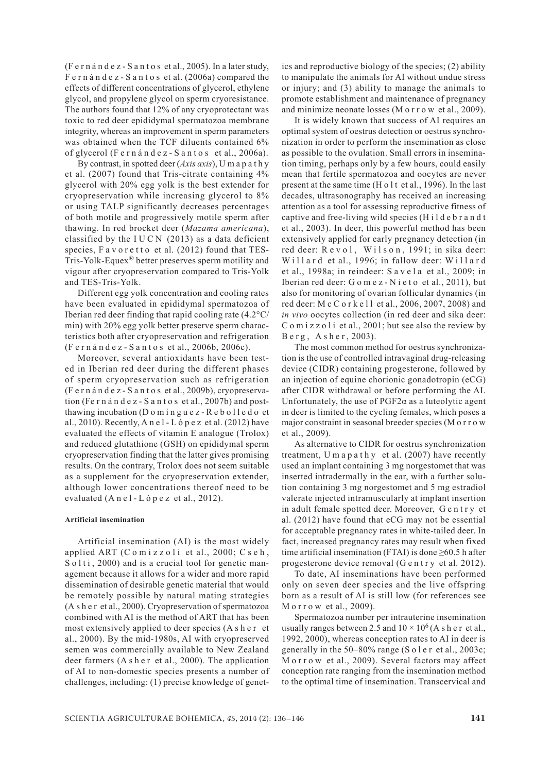(F e r n á n d e z - S a n t o s et al., 2005). In a later study, F e r n á n d e z - S a n t o s et al. (2006a) compared the effects of different concentrations of glycerol, ethylene glycol, and propylene glycol on sperm cryoresistance. The authors found that 12% of any cryoprotectant was toxic to red deer epididymal spermatozoa membrane integrity, whereas an improvement in sperm parameters was obtained when the TCF diluents contained 6% of glycerol (F e r n á n d e z - S a n t o s et al., 2006a).

By contrast, in spotted deer (*Axis axis*), U m a p a t h y et al. (2007) found that Tris-citrate containing 4% glycerol with 20% egg yolk is the best extender for cryopreservation while increasing glycerol to 8% or using TALP significantly decreases percentages of both motile and progressively motile sperm after thawing. In red brocket deer (*Mazama americana*), classified by the IUCN  $(2013)$  as a data deficient species, Favoretto et al. (2012) found that TES-Tris-Yolk-Equex® better preserves sperm motility and vigour after cryopreservation compared to Tris-Yolk and TES-Tris-Yolk.

Different egg yolk concentration and cooling rates have been evaluated in epididymal spermatozoa of Iberian red deer finding that rapid cooling rate (4.2°C/ min) with 20% egg yolk better preserve sperm characteristics both after cryopreservation and refrigeration (F e r n á n d e z - S a n t o s et al., 2006b, 2006c).

Moreover, several antioxidants have been tested in Iberian red deer during the different phases of sperm cryopreservation such as refrigeration (F e r n á n d e z - S a n t o s et al., 2009b), cryopreservation (Fe r n á n d e z - S a n t o s et al., 2007b) and postthawing incubation ( $D$  o m í n g u e z - R e b o l l e d o et al., 2010). Recently, A n e l - L ó p e z et al. (2012) have evaluated the effects of vitamin E analogue (Trolox) and reduced glutathione (GSH) on epididymal sperm cryopreservation finding that the latter gives promising results. On the contrary, Trolox does not seem suitable as a supplement for the cryopreservation extender, although lower concentrations thereof need to be evaluated  $(A \nneq 1 - L \nbig)$   $\neq$   $z$  et al., 2012).

#### **Artificial insemination**

Artificial insemination (AI) is the most widely applied ART (C o m i z z o l i et al., 2000; C s e h,  $S$  o l t i , 2000) and is a crucial tool for genetic management because it allows for a wider and more rapid dissemination of desirable genetic material that would be remotely possible by natural mating strategies (A s h e r et al., 2000). Cryopreservation of spermatozoa combined with AI is the method of ART that has been most extensively applied to deer species (A s h e r et al., 2000). By the mid-1980s, AI with cryopreserved semen was commercially available to New Zealand deer farmers (A s h e r et al., 2000). The application of AI to non-domestic species presents a number of challenges, including: (1) precise knowledge of genetics and reproductive biology of the species; (2) ability to manipulate the animals for AI without undue stress or injury; and (3) ability to manage the animals to promote establishment and maintenance of pregnancy and minimize neonate losses (M o r r o w et al., 2009).

It is widely known that success of AI requires an optimal system of oestrus detection or oestrus synchronization in order to perform the insemination as close as possible to the ovulation. Small errors in insemination timing, perhaps only by a few hours, could easily mean that fertile spermatozoa and oocytes are never present at the same time (H o l t et al., 1996). In the last decades, ultrasonography has received an increasing attention as a tool for assessing reproductive fitness of captive and free-living wild species (H i l d e b r a n d t et al., 2003). In deer, this powerful method has been extensively applied for early pregnancy detection (in red deer: Revol, Wilson, 1991; in sika deer: Willard et al., 1996; in fallow deer: Willard et al., 1998a; in reindeer: S a v e l a et al., 2009; in Iberian red deer: G o m e z - N i e t o et al., 2011), but also for monitoring of ovarian follicular dynamics (in red deer: M c C o r k e 11 et al., 2006, 2007, 2008) and *in vivo* oocytes collection (in red deer and sika deer: C o m i z z o l i et al., 2001; but see also the review by B e r g , A s h e r , 2003).

The most common method for oestrus synchronization is the use of controlled intravaginal drug-releasing device (CIDR) containing progesterone, followed by an injection of equine chorionic gonadotropin (eCG) after CIDR withdrawal or before performing the AI. Unfortunately, the use of  $PGF2\alpha$  as a luteolytic agent in deer is limited to the cycling females, which poses a major constraint in seasonal breeder species (M o r r o w et al., 2009).

As alternative to CIDR for oestrus synchronization treatment, U m a p a t h y et al.  $(2007)$  have recently used an implant containing 3 mg norgestomet that was inserted intradermally in the ear, with a further solution containing 3 mg norgestomet and 5 mg estradiol valerate injected intramuscularly at implant insertion in adult female spotted deer. Moreover, G e n t r y et al. (2012) have found that eCG may not be essential for acceptable pregnancy rates in white-tailed deer. In fact, increased pregnancy rates may result when fixed time artificial insemination (FTAI) is done ≥60.5 h after progesterone device removal (G e n t r y et al. 2012).

To date, AI inseminations have been performed only on seven deer species and the live offspring born as a result of AI is still low (for references see M o r r o w et al., 2009).

Spermatozoa number per intrauterine insemination usually ranges between 2.5 and  $10 \times 10^6$  (A s h e r et al., 1992, 2000), whereas conception rates to AI in deer is generally in the  $50-80\%$  range (S o l e r et al., 2003c; M o r r o w et al., 2009). Several factors may affect conception rate ranging from the insemination method to the optimal time of insemination. Transcervical and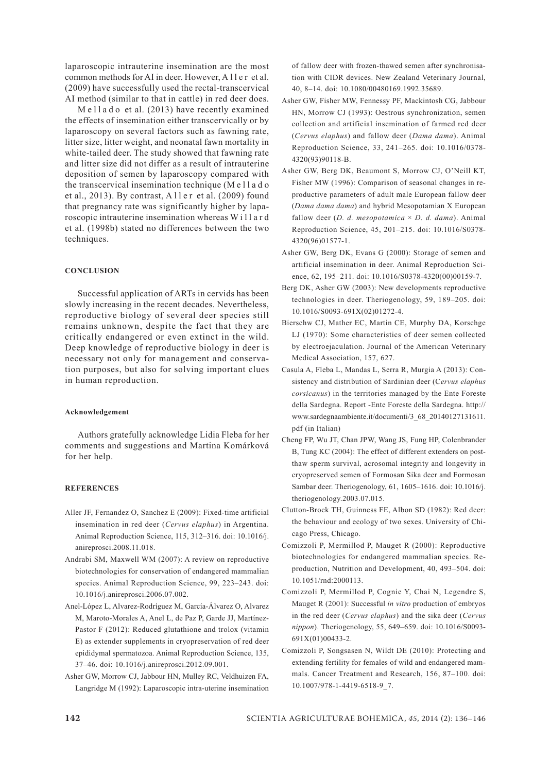laparoscopic intrauterine insemination are the most common methods for AI in deer. However, A l l e r et al. (2009) have successfully used the rectal-transcervical AI method (similar to that in cattle) in red deer does.

 $M$  e l l a d o et al. (2013) have recently examined the effects of insemination either transcervically or by laparoscopy on several factors such as fawning rate, litter size, litter weight, and neonatal fawn mortality in white-tailed deer. The study showed that fawning rate and litter size did not differ as a result of intrauterine deposition of semen by laparoscopy compared with the transcervical insemination technique (M e l l a d o et al., 2013). By contrast, Aller et al.  $(2009)$  found that pregnancy rate was significantly higher by laparoscopic intrauterine insemination whereas W i l l a r d et al. (1998b) stated no differences between the two techniques.

### **CONCLUSION**

Successful application of ARTs in cervids has been slowly increasing in the recent decades. Nevertheless, reproductive biology of several deer species still remains unknown, despite the fact that they are critically endangered or even extinct in the wild. Deep knowledge of reproductive biology in deer is necessary not only for management and conservation purposes, but also for solving important clues in human reproduction.

#### **Acknowledgement**

Authors gratefully acknowledge Lidia Fleba for her comments and suggestions and Martina Komárková for her help.

# **REFERENCES**

- Aller JF, Fernandez O, Sanchez E (2009): Fixed-time artificial insemination in red deer (*Cervus elaphus*) in Argentina. Animal Reproduction Science, 115, 312–316. doi: 10.1016/j. anireprosci.2008.11.018.
- Andrabi SM, Maxwell WM (2007): A review on reproductive biotechnologies for conservation of endangered mammalian species. Animal Reproduction Science, 99, 223–243. doi: 10.1016/j.anireprosci.2006.07.002.
- Anel-López L, Alvarez-Rodríguez M, García-Álvarez O, Alvarez M, Maroto-Morales A, Anel L, de Paz P, Garde JJ, Martínez-Pastor F (2012): Reduced glutathione and trolox (vitamin E) as extender supplements in cryopreservation of red deer epididymal spermatozoa. Animal Reproduction Science, 135, 37–46. doi: 10.1016/j.anireprosci.2012.09.001.
- Asher GW, Morrow CJ, Jabbour HN, Mulley RC, Veldhuizen FA, Langridge M (1992): Laparoscopic intra-uterine insemination

of fallow deer with frozen-thawed semen after synchronisation with CIDR devices. New Zealand Veterinary Journal, 40, 8–14. doi: 10.1080/00480169.1992.35689.

- Asher GW, Fisher MW, Fennessy PF, Mackintosh CG, Jabbour HN, Morrow CJ (1993): Oestrous synchronization, semen collection and artificial insemination of farmed red deer (*Cervus elaphus*) and fallow deer (*Dama dama*). Animal Reproduction Science, 33, 241–265. doi: 10.1016/0378- 4320(93)90118-B.
- Asher GW, Berg DK, Beaumont S, Morrow CJ, O'Neill KT, Fisher MW (1996): Comparison of seasonal changes in reproductive parameters of adult male European fallow deer (*Dama dama dama*) and hybrid Mesopotamian X European fallow deer (*D. d. mesopotamica* × *D. d. dama*). Animal Reproduction Science, 45, 201–215. doi: 10.1016/S0378- 4320(96)01577-1.
- Asher GW, Berg DK, Evans G (2000): Storage of semen and artificial insemination in deer. Animal Reproduction Science, 62, 195–211. doi: 10.1016/S0378-4320(00)00159-7.
- Berg DK, Asher GW (2003): New developments reproductive technologies in deer. Theriogenology, 59, 189–205. doi: 10.1016/S0093-691X(02)01272-4.
- Bierschw CJ, Mather EC, Martin CE, Murphy DA, Korschge LJ (1970): Some characteristics of deer semen collected by electroejaculation. Journal of the American Veterinary Medical Association, 157, 627.
- Casula A, Fleba L, Mandas L, Serra R, Murgia A (2013): Consistency and distribution of Sardinian deer (C*ervus elaphus corsicanus*) in the territories managed by the Ente Foreste della Sardegna. Report -Ente Foreste della Sardegna. http:// www.sardegnaambiente.it/documenti/3\_68\_20140127131611. pdf (in Italian)
- Cheng FP, Wu JT, Chan JPW, Wang JS, Fung HP, Colenbrander B, Tung KC (2004): The effect of different extenders on postthaw sperm survival, acrosomal integrity and longevity in cryopreserved semen of Formosan Sika deer and Formosan Sambar deer. Theriogenology, 61, 1605–1616. doi: 10.1016/j. theriogenology.2003.07.015.
- Clutton-Brock TH, Guinness FE, Albon SD (1982): Red deer: the behaviour and ecology of two sexes. University of Chicago Press, Chicago.
- Comizzoli P, Mermillod P, Mauget R (2000): Reproductive biotechnologies for endangered mammalian species. Reproduction, Nutrition and Development, 40, 493–504. doi: 10.1051/rnd:2000113.
- Comizzoli P, Mermillod P, Cognie Y, Chai N, Legendre S, Mauget R (2001): Successful *in vitro* production of embryos in the red deer (*Cervus elaphus*) and the sika deer (*Cervus nippon*). Theriogenology, 55, 649–659. doi: 10.1016/S0093- 691X(01)00433-2.
- Comizzoli P, Songsasen N, Wildt DE (2010): Protecting and extending fertility for females of wild and endangered mammals. Cancer Treatment and Research, 156, 87–100. doi: 10.1007/978-1-4419-6518-9\_7.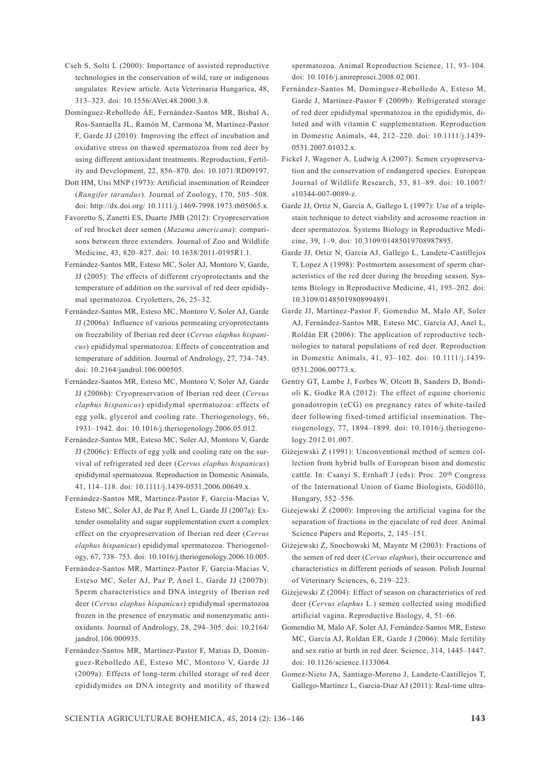- Cseh S, Solti L (2000): Importance of assisted reproductive technologies in the conservation of wild, rare or indigenous ungulates: Review article. Acta Veterinaria Hungarica, 48, 313–323. doi: 10.1556/AVet.48.2000.3.8.
- Domínguez-Rebolledo ÁE, Fernández-Santos MR, Bisbal A, Ros-Santaella JL, Ramón M, Carmona M, Martínez-Pastor F, Garde JJ (2010): Improving the effect of incubation and oxidative stress on thawed spermatozoa from red deer by using different antioxidant treatments. Reproduction, Fertility and Development, 22, 856–870. doi: 10.1071/RD09197.
- Dott HM, Utsi MNP (1973): Artificial insemination of Reindeer (*Rangifer tarandus*). Journal of Zoology, 170, 505–508. doi: http://dx.doi.org/ 10.1111/j.1469-7998.1973.tb05065.x.
- Favoretto S, Zanetti ES, Duarte JMB (2012): Cryopreservation of red brocket deer semen (*Mazama americana*): comparisons between three extenders. Journal of Zoo and Wildlife Medicine, 43, 820–827. doi: 10.1638/2011-0195R1.1.
- Fernández-Santos MR, Esteso MC, Soler AJ, Montoro V, Garde, JJ (2005): The effects of different cryoprotectants and the temperature of addition on the survival of red deer epididymal spermatozoa. Cryoletters, 26, 25–32.
- Fernández-Santos MR, Esteso MC, Montoro V, Soler AJ, Garde JJ (2006a): Influence of various permeating cryoprotectants on freezability of Iberian red deer (*Cervus elaphus hispanicus*) epididymal spermatozoa: Effects of concentration and temperature of addition. Journal of Andrology, 27, 734–745. doi: 10.2164/jandrol.106.000505.
- Fernández-Santos MR, Esteso MC, Montoro V, Soler AJ, Garde JJ (2006b): Cryopreservation of Iberian red deer (*Cervus elaphus hispanicus*) epididymal spermatozoa: effects of egg yolk, glycerol and cooling rate. Theriogenology, 66, 1931–1942. doi: 10.1016/j.theriogenology.2006.05.012.
- Fernández-Santos MR, Esteso MC, Soler AJ, Montoro V, Garde JJ (2006c): Effects of egg yolk and cooling rate on the survival of refrigerated red deer (*Cervus elaphus hispanicus*) epididymal spermatozoa. Reproduction in Domestic Animals, 41, 114–118. doi: 10.1111/j.1439-0531.2006.00649.x.
- Fernández-Santos MR, Martinez-Pastor F, Garcia-Macias V, Esteso MC, Soler AJ, de Paz P, Anel L, Garde JJ (2007a): Extender osmolality and sugar supplementation exert a complex effect on the cryopreservation of Iberian red deer (*Cervus elaphus hispanicus*) epididymal spermatozoa. Theriogenology, 67, 738–753. doi: 10.1016/j.theriogenology.2006.10.005.
- Fernández-Santos MR, Martinez-Pastor F, Garcia-Macias V, Esteso MC, Soler AJ, Paz P, Anel L, Garde JJ (2007b): Sperm characteristics and DNA integrity of Iberian red deer (*Cervus elaphus hispanicus*) epididymal spermatozoa frozen in the presence of enzymatic and nonenzymatic antioxidants. Journal of Andrology, 28, 294–305. doi: 10.2164/ jandrol.106.000935.
- Fernández-Santos MR, Martínez-Pastor F, Matias D, Domínguez-Rebolledo AE, Esteso MC, Montoro V, Garde JJ (2009a): Effects of long-term chilled storage of red deer epididymides on DNA integrity and motility of thawed

spermatozoa. Animal Reproduction Science, 11, 93–104. doi: 10.1016/j.anireprosci.2008.02.001.

- Fernández-Santos M, Dominguez-Rebolledo A, Esteso M, Garde J, Martínez-Pastor F (2009b): Refrigerated storage of red deer epididymal spermatozoa in the epididymis, diluted and with vitamin C supplementation. Reproduction in Domestic Animals, 44, 212–220. doi: 10.1111/j.1439- 0531.2007.01032.x.
- Fickel J, Wagener A, Ludwig A (2007): Semen cryopreservation and the conservation of endangered species. European Journal of Wildlife Research, 53, 81–89. doi: 10.1007/ s10344-007-0089-z.
- Garde JJ, Ortiz N, García A, Gallego L (1997): Use of a triplestain technique to detect viability and acrosome reaction in deer spermatozoa. Systems Biology in Reproductive Medicine, 39, 1–9. doi: 10.3109/01485019708987895.
- Garde JJ, Ortiz N, Garcia AJ, Gallego L, Landete-Castillejos T, Lopez A (1998): Postmortem assessment of sperm characteristics of the red deer during the breeding season. Systems Biology in Reproductive Medicine, 41, 195–202. doi: 10.3109/01485019808994891.
- Garde JJ, Martínez-Pastor F, Gomendio M, Malo AF, Soler AJ, Fernández-Santos MR, Esteso MC, García AJ, Anel L, Roldán ER (2006): The application of reproductive technologies to natural populations of red deer. Reproduction in Domestic Animals, 41, 93–102. doi: 10.1111/j.1439- 0531.2006.00773.x.
- Gentry GT, Lambe J, Forbes W, Olcott B, Sanders D, Bondioli K, Godke RA (2012): The effect of equine chorionic gonadotropin (eCG) on pregnancy rates of white-tailed deer following fixed-timed artificial insemination. Theriogenology, 77, 1894–1899. doi: 10.1016/j.theriogenology.2012.01.007.
- Giżejewski Z (1991): Unconventional method of semen collection from hybrid bulls of European bison and domestic cattle. In: Csanyi S, Ernhaft J (eds): Proc. 20<sup>th</sup> Congress of the International Union of Game Biologists, Gödöllö, Hungary, 552–556.
- Giżejewski Z (2000): Improving the artificial vagina for the separation of fractions in the ejaculate of red deer. Animal Science Papers and Reports, 2, 145–151.
- Giżejewski Z, Snochowski M, Mayntz M (2003): Fractions of the semen of red deer (*Cervus elaphus*), their occurrence and characteristics in different periods of season. Polish Journal of Veterinary Sciences, 6, 219–223.
- Giżejewski Z (2004): Effect of season on characteristics of red deer (*Cervus elaphus* L.) semen collected using modified artificial vagina. Reproductive Biology, 4, 51–66.
- Gomendio M, Malo AF, Soler AJ, Fernández-Santos MR, Esteso MC, García AJ, Roldan ER, Garde J (2006): Male fertility and sex ratio at birth in red deer. Science, 314, 1445–1447. doi: 10.1126/science.1133064.
- Gomez-Nieto JA, Santiago-Moreno J, Landete-Castillejos T, Gallego-Martinez L, Garcia-Diaz AJ (2011): Real-time ultra-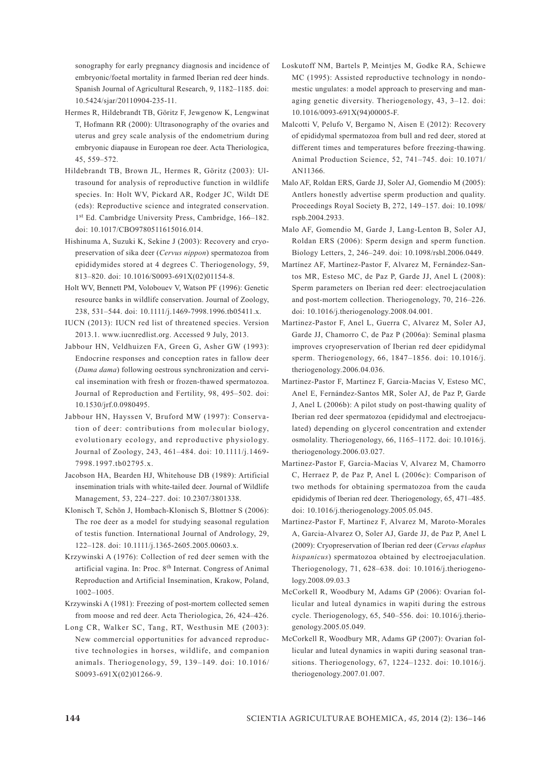sonography for early pregnancy diagnosis and incidence of embryonic/foetal mortality in farmed Iberian red deer hinds. Spanish Journal of Agricultural Research, 9, 1182–1185. doi: 10.5424/sjar/20110904-235-11.

- Hermes R, Hildebrandt TB, Göritz F, Jewgenow K, Lengwinat T, Hofmann RR (2000): Ultrasonography of the ovaries and uterus and grey scale analysis of the endometrium during embryonic diapause in European roe deer. Acta Theriologica, 45, 559–572.
- Hildebrandt TB, Brown JL, Hermes R, Göritz (2003): Ultrasound for analysis of reproductive function in wildlife species. In: Holt WV, Pickard AR, Rodger JC, Wildt DE (eds): Reproductive science and integrated conservation. 1st Ed. Cambridge University Press, Cambridge, 166–182. doi: 10.1017/CBO9780511615016.014.
- Hishinuma A, Suzuki K, Sekine J (2003): Recovery and cryopreservation of sika deer (*Cervus nippon*) spermatozoa from epididymides stored at 4 degrees C. Theriogenology, 59, 813–820. doi: 10.1016/S0093-691X(02)01154-8.
- Holt WV, Bennett PM, Volobouev V, Watson PF (1996): Genetic resource banks in wildlife conservation. Journal of Zoology, 238, 531–544. doi: 10.1111/j.1469-7998.1996.tb05411.x.
- IUCN (2013): IUCN red list of threatened species. Version 2013.1. www.iucnredlist.org. Accessed 9 July, 2013.
- Jabbour HN, Veldhuizen FA, Green G, Asher GW (1993): Endocrine responses and conception rates in fallow deer (*Dama dama*) following oestrous synchronization and cervical insemination with fresh or frozen-thawed spermatozoa. Journal of Reproduction and Fertility, 98, 495–502. doi: 10.1530/jrf.0.0980495.
- Jabbour HN, Hayssen V, Bruford MW (1997): Conservation of deer: contributions from molecular biology, evolutionary ecology, and reproductive physiology. Journal of Zoology, 243, 461–484. doi: 10.1111/j.1469- 7998.1997.tb02795.x.
- Jacobson HA, Bearden HJ, Whitehouse DB (1989): Artificial insemination trials with white-tailed deer. Journal of Wildlife Management, 53, 224–227. doi: 10.2307/3801338.
- Klonisch T, Schön J, Hombach-Klonisch S, Blottner S (2006): The roe deer as a model for studying seasonal regulation of testis function. International Journal of Andrology, 29, 122–128. doi: 10.1111/j.1365-2605.2005.00603.x.
- Krzywinski A (1976): Collection of red deer semen with the artificial vagina. In: Proc. 8th Internat. Congress of Animal Reproduction and Artificial Insemination, Krakow, Poland, 1002–1005.
- Krzywinski A (1981): Freezing of post-mortem collected semen from moose and red deer. Acta Theriologica, 26, 424–426.
- Long CR, Walker SC, Tang, RT, Westhusin ME (2003): New commercial opportunities for advanced reproductive technologies in horses, wildlife, and companion animals. Theriogenology, 59, 139–149. doi: 10.1016/ S0093-691X(02)01266-9.
- Loskutoff NM, Bartels P, Meintjes M, Godke RA, Schiewe MC (1995): Assisted reproductive technology in nondomestic ungulates: a model approach to preserving and managing genetic diversity. Theriogenology, 43, 3–12. doi: 10.1016/0093-691X(94)00005-F.
- Malcotti V, Pelufo V, Bergamo N, Aisen E (2012): Recovery of epididymal spermatozoa from bull and red deer, stored at different times and temperatures before freezing-thawing. Animal Production Science, 52, 741–745. doi: 10.1071/ AN11366.
- Malo AF, Roldan ERS, Garde JJ, Soler AJ, Gomendio M (2005): Antlers honestly advertise sperm production and quality. Proceedings Royal Society B, 272, 149–157. doi: 10.1098/ rspb.2004.2933.
- Malo AF, Gomendio M, Garde J, Lang-Lenton B, Soler AJ, Roldan ERS (2006): Sperm design and sperm function. Biology Letters, 2, 246–249. doi: 10.1098/rsbl.2006.0449.
- Martínez AF, Martínez-Pastor F, Alvarez M, Fernández-Santos MR, Esteso MC, de Paz P, Garde JJ, Anel L (2008): Sperm parameters on Iberian red deer: electroejaculation and post-mortem collection. Theriogenology, 70, 216–226. doi: 10.1016/j.theriogenology.2008.04.001.
- Martinez-Pastor F, Anel L, Guerra C, Alvarez M, Soler AJ, Garde JJ, Chamorro C, de Paz P (2006a): Seminal plasma improves cryopreservation of Iberian red deer epididymal sperm. Theriogenology, 66, 1847–1856. doi: 10.1016/j. theriogenology.2006.04.036.
- Martinez-Pastor F, Martinez F, Garcia-Macias V, Esteso MC, Anel E, Fernández-Santos MR, Soler AJ, de Paz P, Garde J, Anel L (2006b): A pilot study on post-thawing quality of Iberian red deer spermatozoa (epididymal and electroejaculated) depending on glycerol concentration and extender osmolality. Theriogenology, 66, 1165–1172. doi: 10.1016/j. theriogenology.2006.03.027.
- Martinez-Pastor F, Garcia-Macias V, Alvarez M, Chamorro C, Herraez P, de Paz P, Anel L (2006c): Comparison of two methods for obtaining spermatozoa from the cauda epididymis of Iberian red deer. Theriogenology, 65, 471–485. doi: 10.1016/j.theriogenology.2005.05.045.
- Martinez-Pastor F, Martinez F, Alvarez M, Maroto-Morales A, Garcia-Alvarez O, Soler AJ, Garde JJ, de Paz P, Anel L (2009): Cryopreservation of Iberian red deer (*Cervus elaphus hispanicus*) spermatozoa obtained by electroejaculation. Theriogenology, 71, 628–638. doi: 10.1016/j.theriogenology.2008.09.03.3
- McCorkell R, Woodbury M, Adams GP (2006): Ovarian follicular and luteal dynamics in wapiti during the estrous cycle. Theriogenology, 65, 540–556. doi: 10.1016/j.theriogenology.2005.05.049.
- McCorkell R, Woodbury MR, Adams GP (2007): Ovarian follicular and luteal dynamics in wapiti during seasonal transitions. Theriogenology, 67, 1224–1232. doi: 10.1016/j. theriogenology.2007.01.007.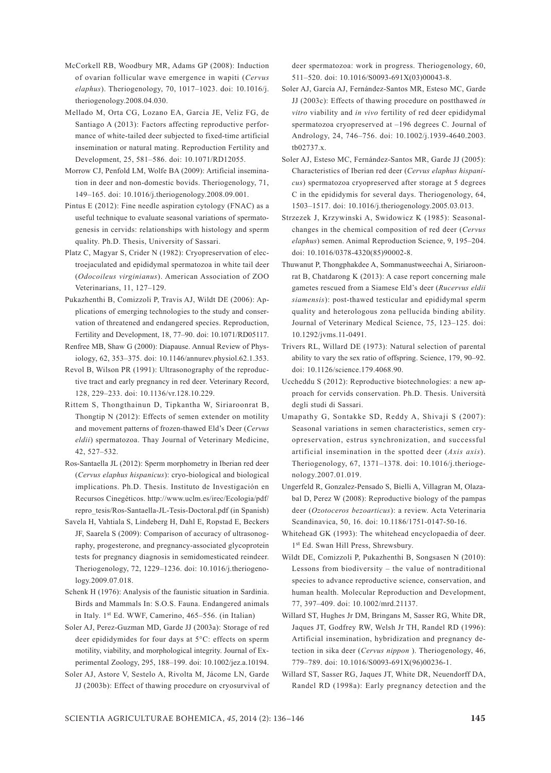- McCorkell RB, Woodbury MR, Adams GP (2008): Induction of ovarian follicular wave emergence in wapiti (*Cervus elaphus*). Theriogenology, 70, 1017–1023. doi: 10.1016/j. theriogenology.2008.04.030.
- Mellado M, Orta CG, Lozano EA, Garcia JE, Veliz FG, de Santiago A (2013): Factors affecting reproductive performance of white-tailed deer subjected to fixed-time artificial insemination or natural mating. Reproduction Fertility and Development, 25, 581–586. doi: 10.1071/RD12055.
- Morrow CJ, Penfold LM, Wolfe BA (2009): Artificial insemination in deer and non-domestic bovids. Theriogenology, 71, 149–165. doi: 10.1016/j.theriogenology.2008.09.001.
- Pintus E (2012): Fine needle aspiration cytology (FNAC) as a useful technique to evaluate seasonal variations of spermatogenesis in cervids: relationships with histology and sperm quality. Ph.D. Thesis, University of Sassari.
- Platz C, Magyar S, Crider N (1982): Cryopreservation of electroejaculated and epididymal spermatozoa in white tail deer (*Odocoileus virginianus*). American Association of ZOO Veterinarians, 11, 127–129.
- Pukazhenthi B, Comizzoli P, Travis AJ, Wildt DE (2006): Applications of emerging technologies to the study and conservation of threatened and endangered species. Reproduction, Fertility and Development, 18, 77–90. doi: 10.1071/RD05117.
- Renfree MB, Shaw G (2000): Diapause. Annual Review of Physiology, 62, 353–375. doi: 10.1146/annurev.physiol.62.1.353.
- Revol B, Wilson PR (1991): Ultrasonography of the reproductive tract and early pregnancy in red deer. Veterinary Record, 128, 229–233. doi: 10.1136/vr.128.10.229.
- Rittem S, Thongthainun D, Tipkantha W, Siriaroonrat B, Thongtip N (2012): Effects of semen extender on motility and movement patterns of frozen-thawed Eld's Deer (*Cervus eldii*) spermatozoa. Thay Journal of Veterinary Medicine, 42, 527–532.
- Ros-Santaella JL (2012): Sperm morphometry in Iberian red deer (*Cervus elaphus hispanicus*): cryo-biological and biological implications. Ph.D. Thesis. Instituto de Investigación en Recursos Cinegéticos. http://www.uclm.es/irec/Ecologia/pdf/ repro\_tesis/Ros-Santaella-JL-Tesis-Doctoral.pdf (in Spanish)
- Savela H, Vahtiala S, Lindeberg H, Dahl E, Ropstad E, Beckers JF, Saarela S (2009): Comparison of accuracy of ultrasonography, progesterone, and pregnancy-associated glycoprotein tests for pregnancy diagnosis in semidomesticated reindeer. Theriogenology, 72, 1229–1236. doi: 10.1016/j.theriogenology.2009.07.018.
- Schenk H (1976): Analysis of the faunistic situation in Sardinia. Birds and Mammals In: S.O.S. Fauna. Endangered animals in Italy. 1st Ed. WWF, Camerino, 465–556. (in Italian)
- Soler AJ, Perez-Guzman MD, Garde JJ (2003a): Storage of red deer epididymides for four days at 5°C: effects on sperm motility, viability, and morphological integrity. Journal of Experimental Zoology, 295, 188–199. doi: 10.1002/jez.a.10194.
- Soler AJ, Astore V, Sestelo A, Rivolta M, Jácome LN, Garde JJ (2003b): Effect of thawing procedure on cryosurvival of

deer spermatozoa: work in progress. Theriogenology, 60, 511–520. doi: 10.1016/S0093-691X(03)00043-8.

- Soler AJ, García AJ, Fernández-Santos MR, Esteso MC, Garde JJ (2003c): Effects of thawing procedure on postthawed *in vitro* viability and *in vivo* fertility of red deer epididymal spermatozoa cryopreserved at –196 degrees C. Journal of Andrology, 24, 746–756. doi: 10.1002/j.1939-4640.2003. tb02737.x.
- Soler AJ, Esteso MC, Fernández-Santos MR, Garde JJ (2005): Characteristics of Iberian red deer (*Cervus elaphus hispanicus*) spermatozoa cryopreserved after storage at 5 degrees C in the epididymis for several days. Theriogenology, 64, 1503–1517. doi: 10.1016/j.theriogenology.2005.03.013.
- Strzezek J, Krzywinski A, Swidowicz K (1985): Seasonalchanges in the chemical composition of red deer (*Cervus elaphus*) semen. Animal Reproduction Science, 9, 195–204. doi: 10.1016/0378-4320(85)90002-8.
- Thuwanut P, Thongphakdee A, Sommanustweechai A, Siriaroonrat B, Chatdarong K (2013): A case report concerning male gametes rescued from a Siamese Eld's deer (*Rucervus eldii siamensis*): post-thawed testicular and epididymal sperm quality and heterologous zona pellucida binding ability. Journal of Veterinary Medical Science, 75, 123–125. doi: 10.1292/jvms.11-0491.
- Trivers RL, Willard DE (1973): Natural selection of parental ability to vary the sex ratio of offspring. Science, 179, 90–92. doi: 10.1126/science.179.4068.90.
- Uccheddu S (2012): Reproductive biotechnologies: a new approach for cervids conservation. Ph.D. Thesis. Università degli studi di Sassari.
- Umapathy G, Sontakke SD, Reddy A, Shivaji S (2007): Seasonal variations in semen characteristics, semen cryopreservation, estrus synchronization, and successful artificial insemination in the spotted deer (*Axis axis*). Theriogenology, 67, 1371–1378. doi: 10.1016/j.theriogenology.2007.01.019.
- Ungerfeld R, Gonzalez-Pensado S, Bielli A, Villagran M, Olazabal D, Perez W (2008): Reproductive biology of the pampas deer (*Ozotoceros bezoarticus*): a review. Acta Veterinaria Scandinavica, 50, 16. doi: 10.1186/1751-0147-50-16.
- Whitehead GK (1993): The whitehead encyclopaedia of deer. 1<sup>st</sup> Ed. Swan Hill Press, Shrewsbury.
- Wildt DE, Comizzoli P, Pukazhenthi B, Songsasen N (2010): Lessons from biodiversity – the value of nontraditional species to advance reproductive science, conservation, and human health. Molecular Reproduction and Development, 77, 397–409. doi: 10.1002/mrd.21137.
- Willard ST, Hughes Jr DM, Bringans M, Sasser RG, White DR, Jaques JT, Godfrey RW, Welsh Jr TH, Randel RD (1996): Artificial insemination, hybridization and pregnancy detection in sika deer (*Cervus nippon* ). Theriogenology, 46, 779–789. doi: 10.1016/S0093-691X(96)00236-1.
- Willard ST, Sasser RG, Jaques JT, White DR, Neuendorff DA, Randel RD (1998a): Early pregnancy detection and the